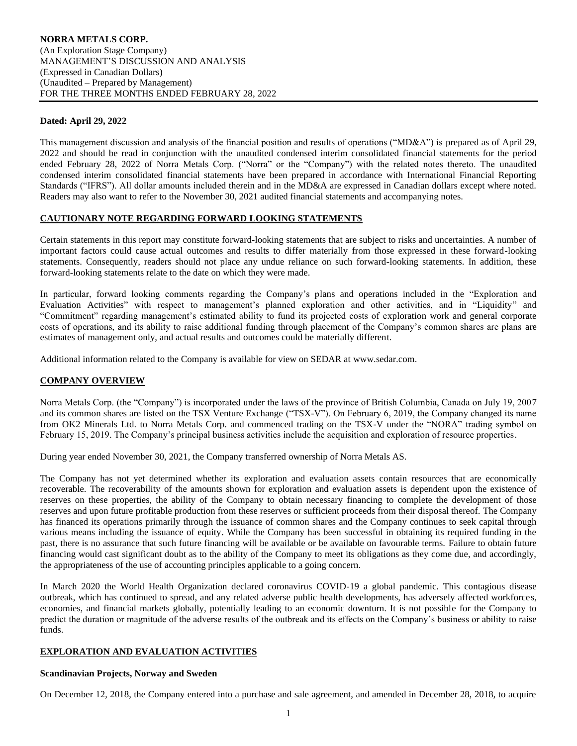## **Dated: April 29, 2022**

This management discussion and analysis of the financial position and results of operations ("MD&A") is prepared as of April 29, 2022 and should be read in conjunction with the unaudited condensed interim consolidated financial statements for the period ended February 28, 2022 of Norra Metals Corp. ("Norra" or the "Company") with the related notes thereto. The unaudited condensed interim consolidated financial statements have been prepared in accordance with International Financial Reporting Standards ("IFRS"). All dollar amounts included therein and in the MD&A are expressed in Canadian dollars except where noted. Readers may also want to refer to the November 30, 2021 audited financial statements and accompanying notes.

## **CAUTIONARY NOTE REGARDING FORWARD LOOKING STATEMENTS**

Certain statements in this report may constitute forward-looking statements that are subject to risks and uncertainties. A number of important factors could cause actual outcomes and results to differ materially from those expressed in these forward-looking statements. Consequently, readers should not place any undue reliance on such forward-looking statements. In addition, these forward-looking statements relate to the date on which they were made.

In particular, forward looking comments regarding the Company's plans and operations included in the "Exploration and Evaluation Activities" with respect to management's planned exploration and other activities, and in "Liquidity" and "Commitment" regarding management's estimated ability to fund its projected costs of exploration work and general corporate costs of operations, and its ability to raise additional funding through placement of the Company's common shares are plans are estimates of management only, and actual results and outcomes could be materially different.

Additional information related to the Company is available for view on SEDAR at www.sedar.com.

## **COMPANY OVERVIEW**

Norra Metals Corp. (the "Company") is incorporated under the laws of the province of British Columbia, Canada on July 19, 2007 and its common shares are listed on the TSX Venture Exchange ("TSX-V"). On February 6, 2019, the Company changed its name from OK2 Minerals Ltd. to Norra Metals Corp. and commenced trading on the TSX-V under the "NORA" trading symbol on February 15, 2019. The Company's principal business activities include the acquisition and exploration of resource properties.

During year ended November 30, 2021, the Company transferred ownership of Norra Metals AS.

The Company has not yet determined whether its exploration and evaluation assets contain resources that are economically recoverable. The recoverability of the amounts shown for exploration and evaluation assets is dependent upon the existence of reserves on these properties, the ability of the Company to obtain necessary financing to complete the development of those reserves and upon future profitable production from these reserves or sufficient proceeds from their disposal thereof. The Company has financed its operations primarily through the issuance of common shares and the Company continues to seek capital through various means including the issuance of equity. While the Company has been successful in obtaining its required funding in the past, there is no assurance that such future financing will be available or be available on favourable terms. Failure to obtain future financing would cast significant doubt as to the ability of the Company to meet its obligations as they come due, and accordingly, the appropriateness of the use of accounting principles applicable to a going concern.

In March 2020 the World Health Organization declared coronavirus COVID-19 a global pandemic. This contagious disease outbreak, which has continued to spread, and any related adverse public health developments, has adversely affected workforces, economies, and financial markets globally, potentially leading to an economic downturn. It is not possible for the Company to predict the duration or magnitude of the adverse results of the outbreak and its effects on the Company's business or ability to raise funds.

## **EXPLORATION AND EVALUATION ACTIVITIES**

#### **Scandinavian Projects, Norway and Sweden**

On December 12, 2018, the Company entered into a purchase and sale agreement, and amended in December 28, 2018, to acquire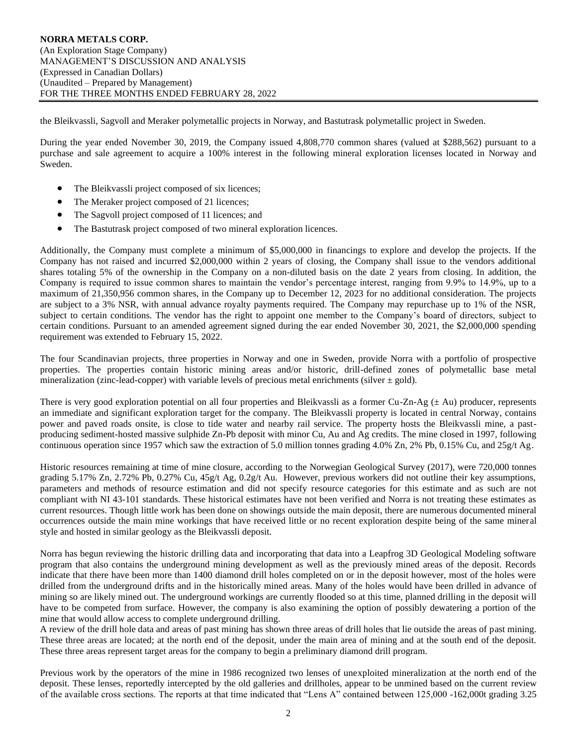the Bleikvassli, Sagvoll and Meraker polymetallic projects in Norway, and Bastutrask polymetallic project in Sweden.

During the year ended November 30, 2019, the Company issued 4,808,770 common shares (valued at \$288,562) pursuant to a purchase and sale agreement to acquire a 100% interest in the following mineral exploration licenses located in Norway and Sweden.

- The Bleikvassli project composed of six licences;
- The Meraker project composed of 21 licences;
- The Sagvoll project composed of 11 licences; and
- The Bastutrask project composed of two mineral exploration licences.

Additionally, the Company must complete a minimum of \$5,000,000 in financings to explore and develop the projects. If the Company has not raised and incurred \$2,000,000 within 2 years of closing, the Company shall issue to the vendors additional shares totaling 5% of the ownership in the Company on a non-diluted basis on the date 2 years from closing. In addition, the Company is required to issue common shares to maintain the vendor's percentage interest, ranging from 9.9% to 14.9%, up to a maximum of 21,350,956 common shares, in the Company up to December 12, 2023 for no additional consideration. The projects are subject to a 3% NSR, with annual advance royalty payments required. The Company may repurchase up to 1% of the NSR, subject to certain conditions. The vendor has the right to appoint one member to the Company's board of directors, subject to certain conditions. Pursuant to an amended agreement signed during the ear ended November 30, 2021, the \$2,000,000 spending requirement was extended to February 15, 2022.

The four Scandinavian projects, three properties in Norway and one in Sweden, provide Norra with a portfolio of prospective properties. The properties contain historic mining areas and/or historic, drill-defined zones of polymetallic base metal mineralization (zinc-lead-copper) with variable levels of precious metal enrichments (silver  $\pm$  gold).

There is very good exploration potential on all four properties and Bleikvassli as a former Cu-Zn-Ag  $(\pm Au)$  producer, represents an immediate and significant exploration target for the company. The Bleikvassli property is located in central Norway, contains power and paved roads onsite, is close to tide water and nearby rail service. The property hosts the Bleikvassli mine, a pastproducing sediment-hosted massive sulphide Zn-Pb deposit with minor Cu, Au and Ag credits. The mine closed in 1997, following continuous operation since 1957 which saw the extraction of 5.0 million tonnes grading 4.0% Zn, 2% Pb, 0.15% Cu, and 25g/t Ag.

Historic resources remaining at time of mine closure, according to the Norwegian Geological Survey (2017), were 720,000 tonnes grading 5.17% Zn, 2.72% Pb, 0.27% Cu, 45g/t Ag, 0.2g/t Au. However, previous workers did not outline their key assumptions, parameters and methods of resource estimation and did not specify resource categories for this estimate and as such are not compliant with NI 43-101 standards. These historical estimates have not been verified and Norra is not treating these estimates as current resources. Though little work has been done on showings outside the main deposit, there are numerous documented mineral occurrences outside the main mine workings that have received little or no recent exploration despite being of the same mineral style and hosted in similar geology as the Bleikvassli deposit.

Norra has begun reviewing the historic drilling data and incorporating that data into a Leapfrog 3D Geological Modeling software program that also contains the underground mining development as well as the previously mined areas of the deposit. Records indicate that there have been more than 1400 diamond drill holes completed on or in the deposit however, most of the holes were drilled from the underground drifts and in the historically mined areas. Many of the holes would have been drilled in advance of mining so are likely mined out. The underground workings are currently flooded so at this time, planned drilling in the deposit will have to be competed from surface. However, the company is also examining the option of possibly dewatering a portion of the mine that would allow access to complete underground drilling.

A review of the drill hole data and areas of past mining has shown three areas of drill holes that lie outside the areas of past mining. These three areas are located; at the north end of the deposit, under the main area of mining and at the south end of the deposit. These three areas represent target areas for the company to begin a preliminary diamond drill program.

Previous work by the operators of the mine in 1986 recognized two lenses of unexploited mineralization at the north end of the deposit. These lenses, reportedly intercepted by the old galleries and drillholes, appear to be unmined based on the current review of the available cross sections. The reports at that time indicated that "Lens A" contained between 125,000 -162,000t grading 3.25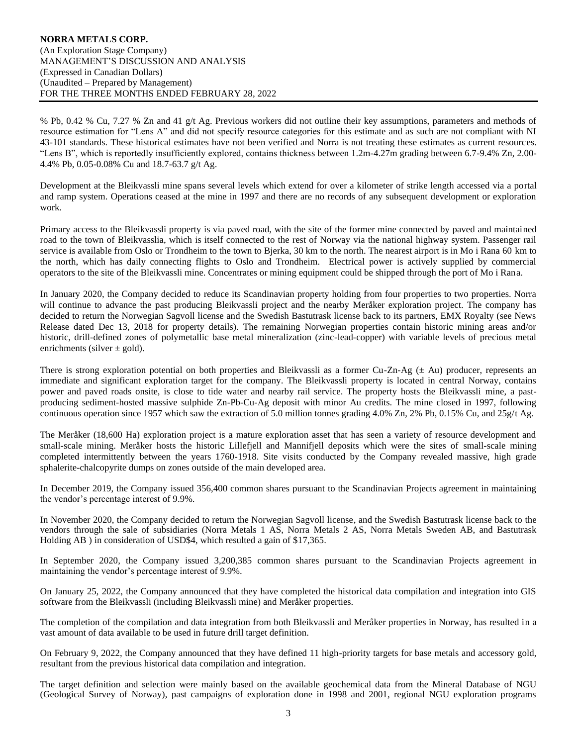% Pb, 0.42 % Cu, 7.27 % Zn and 41 g/t Ag. Previous workers did not outline their key assumptions, parameters and methods of resource estimation for "Lens A" and did not specify resource categories for this estimate and as such are not compliant with NI 43-101 standards. These historical estimates have not been verified and Norra is not treating these estimates as current resources. "Lens B", which is reportedly insufficiently explored, contains thickness between 1.2m-4.27m grading between 6.7-9.4% Zn, 2.00- 4.4% Pb, 0.05-0.08% Cu and 18.7-63.7 g/t Ag.

Development at the Bleikvassli mine spans several levels which extend for over a kilometer of strike length accessed via a portal and ramp system. Operations ceased at the mine in 1997 and there are no records of any subsequent development or exploration work.

Primary access to the Bleikvassli property is via paved road, with the site of the former mine connected by paved and maintained road to the town of Bleikvasslia, which is itself connected to the rest of Norway via the national highway system. Passenger rail service is available from Oslo or Trondheim to the town to Bjerka, 30 km to the north. The nearest airport is in Mo i Rana 60 km to the north, which has daily connecting flights to Oslo and Trondheim. Electrical power is actively supplied by commercial operators to the site of the Bleikvassli mine. Concentrates or mining equipment could be shipped through the port of Mo i Rana.

In January 2020, the Company decided to reduce its Scandinavian property holding from four properties to two properties. Norra will continue to advance the past producing Bleikvassli project and the nearby Meråker exploration project. The company has decided to return the Norwegian Sagvoll license and the Swedish Bastutrask license back to its partners, EMX Royalty (see News Release dated Dec 13, 2018 for property details). The remaining Norwegian properties contain historic mining areas and/or historic, drill-defined zones of polymetallic base metal mineralization (zinc-lead-copper) with variable levels of precious metal enrichments (silver  $\pm$  gold).

There is strong exploration potential on both properties and Bleikvassli as a former Cu-Zn-Ag ( $\pm$  Au) producer, represents an immediate and significant exploration target for the company. The Bleikvassli property is located in central Norway, contains power and paved roads onsite, is close to tide water and nearby rail service. The property hosts the Bleikvassli mine, a pastproducing sediment-hosted massive sulphide Zn-Pb-Cu-Ag deposit with minor Au credits. The mine closed in 1997, following continuous operation since 1957 which saw the extraction of 5.0 million tonnes grading 4.0% Zn, 2% Pb, 0.15% Cu, and 25g/t Ag.

The Meråker (18,600 Ha) exploration project is a mature exploration asset that has seen a variety of resource development and small-scale mining. Meråker hosts the historic Lillefjell and Mannifjell deposits which were the sites of small-scale mining completed intermittently between the years 1760-1918. Site visits conducted by the Company revealed massive, high grade sphalerite-chalcopyrite dumps on zones outside of the main developed area.

In December 2019, the Company issued 356,400 common shares pursuant to the Scandinavian Projects agreement in maintaining the vendor's percentage interest of 9.9%.

In November 2020, the Company decided to return the Norwegian Sagvoll license, and the Swedish Bastutrask license back to the vendors through the sale of subsidiaries (Norra Metals 1 AS, Norra Metals 2 AS, Norra Metals Sweden AB, and Bastutrask Holding AB ) in consideration of USD\$4, which resulted a gain of \$17,365.

In September 2020, the Company issued 3,200,385 common shares pursuant to the Scandinavian Projects agreement in maintaining the vendor's percentage interest of 9.9%.

On January 25, 2022, the Company announced that they have completed the historical data compilation and integration into GIS software from the Bleikvassli (including Bleikvassli mine) and Meråker properties.

The completion of the compilation and data integration from both Bleikvassli and Meråker properties in Norway, has resulted in a vast amount of data available to be used in future drill target definition.

On February 9, 2022, the Company announced that they have defined 11 high-priority targets for base metals and accessory gold, resultant from the previous historical data compilation and integration.

The target definition and selection were mainly based on the available geochemical data from the Mineral Database of NGU (Geological Survey of Norway), past campaigns of exploration done in 1998 and 2001, regional NGU exploration programs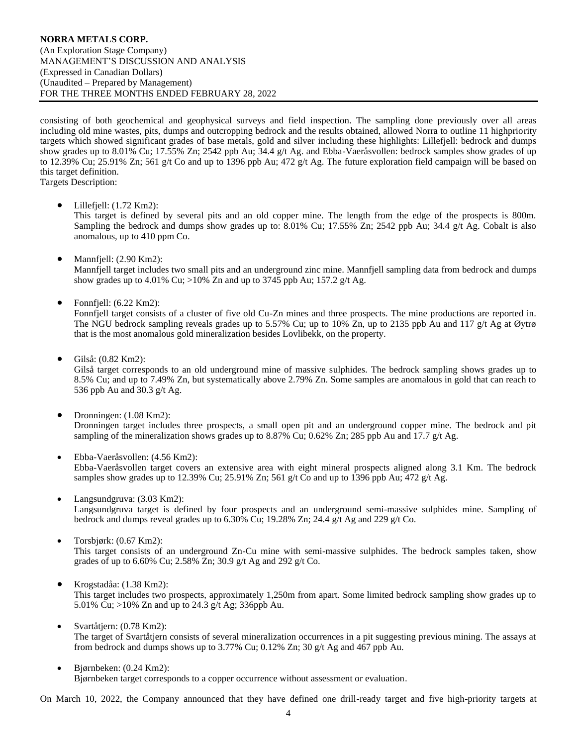consisting of both geochemical and geophysical surveys and field inspection. The sampling done previously over all areas including old mine wastes, pits, dumps and outcropping bedrock and the results obtained, allowed Norra to outline 11 highpriority targets which showed significant grades of base metals, gold and silver including these highlights: Lillefjell: bedrock and dumps show grades up to 8.01% Cu; 17.55% Zn; 2542 ppb Au; 34.4 g/t Ag. and Ebba-Vaeråsvollen: bedrock samples show grades of up to 12.39% Cu; 25.91% Zn; 561 g/t Co and up to 1396 ppb Au; 472 g/t Ag. The future exploration field campaign will be based on this target definition. Targets Description:

• Lillefjell: (1.72 Km2):

This target is defined by several pits and an old copper mine. The length from the edge of the prospects is 800m. Sampling the bedrock and dumps show grades up to: 8.01% Cu; 17.55% Zn; 2542 ppb Au; 34.4 g/t Ag. Cobalt is also anomalous, up to 410 ppm Co.

• Mannfjell:  $(2.90 \text{ Km2})$ :

Mannfjell target includes two small pits and an underground zinc mine. Mannfjell sampling data from bedrock and dumps show grades up to 4.01% Cu; >10% Zn and up to 3745 ppb Au; 157.2 g/t Ag.

• Fonnfiell:  $(6.22 \text{ Km2})$ :

Fonnfjell target consists of a cluster of five old Cu-Zn mines and three prospects. The mine productions are reported in. The NGU bedrock sampling reveals grades up to 5.57% Cu; up to 10% Zn, up to 2135 ppb Au and 117 g/t Ag at Øytrø that is the most anomalous gold mineralization besides Lovlibekk, on the property.

• Gilså: (0.82 Km2):

Gilså target corresponds to an old underground mine of massive sulphides. The bedrock sampling shows grades up to 8.5% Cu; and up to 7.49% Zn, but systematically above 2.79% Zn. Some samples are anomalous in gold that can reach to 536 ppb Au and 30.3 g/t Ag.

- Dronningen: (1.08 Km2): Dronningen target includes three prospects, a small open pit and an underground copper mine. The bedrock and pit sampling of the mineralization shows grades up to 8.87% Cu; 0.62% Zn; 285 ppb Au and  $17.7$  g/t Ag.
- Ebba-Vaeråsvollen: (4.56 Km2): Ebba-Vaeråsvollen target covers an extensive area with eight mineral prospects aligned along 3.1 Km. The bedrock samples show grades up to 12.39% Cu; 25.91% Zn; 561 g/t Co and up to 1396 ppb Au; 472 g/t Ag.
- Langsundgruva: (3.03 Km2): Langsundgruva target is defined by four prospects and an underground semi-massive sulphides mine. Sampling of bedrock and dumps reveal grades up to 6.30% Cu; 19.28% Zn; 24.4 g/t Ag and 229 g/t Co.
- Torsbjørk:  $(0.67 \text{ Km2})$ : This target consists of an underground Zn-Cu mine with semi-massive sulphides. The bedrock samples taken, show grades of up to 6.60% Cu; 2.58% Zn; 30.9 g/t Ag and 292 g/t Co.
- Krogstadåa: (1.38 Km2): This target includes two prospects, approximately 1,250m from apart. Some limited bedrock sampling show grades up to 5.01% Cu; >10% Zn and up to 24.3 g/t Ag; 336ppb Au.
- Svartåtjern: (0.78 Km2): The target of Svartåtjern consists of several mineralization occurrences in a pit suggesting previous mining. The assays at from bedrock and dumps shows up to 3.77% Cu; 0.12% Zn; 30 g/t Ag and 467 ppb Au.
- Bjørnbeken: (0.24 Km2): Bjørnbeken target corresponds to a copper occurrence without assessment or evaluation.

On March 10, 2022, the Company announced that they have defined one drill-ready target and five high-priority targets at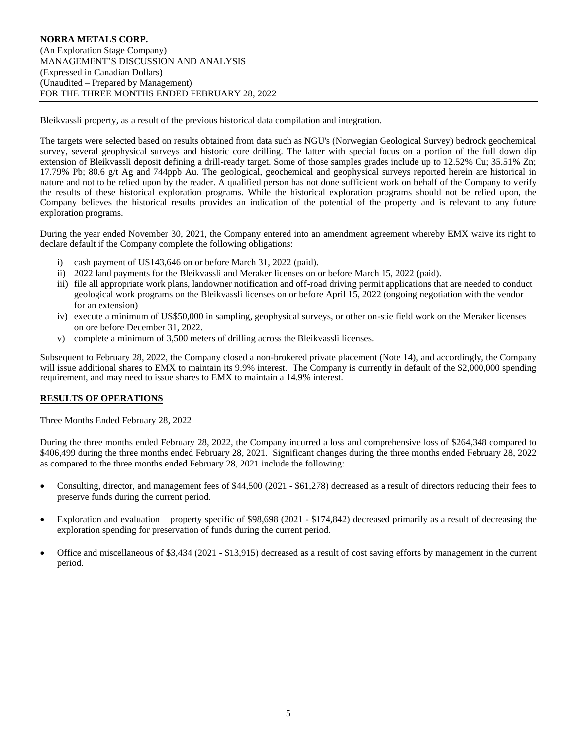Bleikvassli property, as a result of the previous historical data compilation and integration.

The targets were selected based on results obtained from data such as NGU's (Norwegian Geological Survey) bedrock geochemical survey, several geophysical surveys and historic core drilling. The latter with special focus on a portion of the full down dip extension of Bleikvassli deposit defining a drill-ready target. Some of those samples grades include up to 12.52% Cu; 35.51% Zn; 17.79% Pb; 80.6 g/t Ag and 744ppb Au. The geological, geochemical and geophysical surveys reported herein are historical in nature and not to be relied upon by the reader. A qualified person has not done sufficient work on behalf of the Company to verify the results of these historical exploration programs. While the historical exploration programs should not be relied upon, the Company believes the historical results provides an indication of the potential of the property and is relevant to any future exploration programs.

During the year ended November 30, 2021, the Company entered into an amendment agreement whereby EMX waive its right to declare default if the Company complete the following obligations:

- i) cash payment of US143,646 on or before March 31, 2022 (paid).
- ii) 2022 land payments for the Bleikvassli and Meraker licenses on or before March 15, 2022 (paid).
- iii) file all appropriate work plans, landowner notification and off-road driving permit applications that are needed to conduct geological work programs on the Bleikvassli licenses on or before April 15, 2022 (ongoing negotiation with the vendor for an extension)
- iv) execute a minimum of US\$50,000 in sampling, geophysical surveys, or other on-stie field work on the Meraker licenses on ore before December 31, 2022.
- v) complete a minimum of 3,500 meters of drilling across the Bleikvassli licenses.

Subsequent to February 28, 2022, the Company closed a non-brokered private placement (Note 14), and accordingly, the Company will issue additional shares to EMX to maintain its 9.9% interest. The Company is currently in default of the \$2,000,000 spending requirement, and may need to issue shares to EMX to maintain a 14.9% interest.

## **RESULTS OF OPERATIONS**

## Three Months Ended February 28, 2022

During the three months ended February 28, 2022, the Company incurred a loss and comprehensive loss of \$264,348 compared to \$406,499 during the three months ended February 28, 2021. Significant changes during the three months ended February 28, 2022 as compared to the three months ended February 28, 2021 include the following:

- Consulting, director, and management fees of \$44,500 (2021 \$61,278) decreased as a result of directors reducing their fees to preserve funds during the current period.
- Exploration and evaluation property specific of \$98,698 (2021 \$174,842) decreased primarily as a result of decreasing the exploration spending for preservation of funds during the current period.
- Office and miscellaneous of \$3,434 (2021 \$13,915) decreased as a result of cost saving efforts by management in the current period.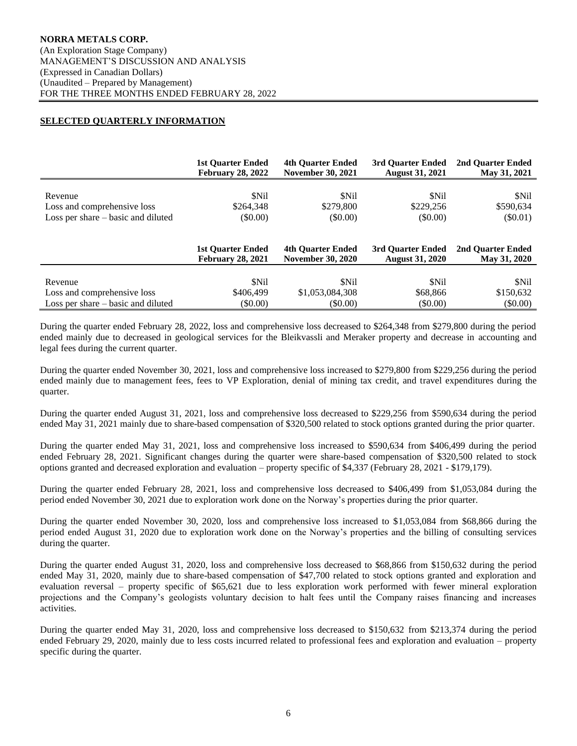# **SELECTED QUARTERLY INFORMATION**

|                                      | <b>1st Ouarter Ended</b> | <b>4th Quarter Ended</b> | 3rd Ouarter Ended      | 2nd Ouarter Ended |
|--------------------------------------|--------------------------|--------------------------|------------------------|-------------------|
|                                      | <b>February 28, 2022</b> | <b>November 30, 2021</b> | <b>August 31, 2021</b> | May 31, 2021      |
| Revenue                              | <b>SNil</b>              | \$Nil                    | <b>SNil</b>            | \$Nil             |
| Loss and comprehensive loss          | \$264,348                | \$279,800                | \$229,256              | \$590,634         |
| Loss per share $-$ basic and diluted | $(\$0.00)$               | $($ \$0.00)              | $($ \$0.00)            | $(\$0.01)$        |
|                                      | <b>1st Quarter Ended</b> | <b>4th Quarter Ended</b> | 3rd Ouarter Ended      | 2nd Ouarter Ended |
|                                      | <b>February 28, 2021</b> | <b>November 30, 2020</b> | <b>August 31, 2020</b> | May 31, 2020      |
| Revenue                              | <b>SNil</b>              | \$Nil                    | <b>SNil</b>            | \$Nil             |
| Loss and comprehensive loss          | \$406.499                | \$1,053,084,308          | \$68,866               | \$150,632         |
| Loss per share – basic and diluted   | $(\$0.00)$               | $($ \$0.00)              | $($ \$0.00)            | $($ \$0.00)       |

During the quarter ended February 28, 2022, loss and comprehensive loss decreased to \$264,348 from \$279,800 during the period ended mainly due to decreased in geological services for the Bleikvassli and Meraker property and decrease in accounting and legal fees during the current quarter.

During the quarter ended November 30, 2021, loss and comprehensive loss increased to \$279,800 from \$229,256 during the period ended mainly due to management fees, fees to VP Exploration, denial of mining tax credit, and travel expenditures during the quarter.

During the quarter ended August 31, 2021, loss and comprehensive loss decreased to \$229,256 from \$590,634 during the period ended May 31, 2021 mainly due to share-based compensation of \$320,500 related to stock options granted during the prior quarter.

During the quarter ended May 31, 2021, loss and comprehensive loss increased to \$590,634 from \$406,499 during the period ended February 28, 2021. Significant changes during the quarter were share-based compensation of \$320,500 related to stock options granted and decreased exploration and evaluation – property specific of \$4,337 (February 28, 2021 - \$179,179).

During the quarter ended February 28, 2021, loss and comprehensive loss decreased to \$406,499 from \$1,053,084 during the period ended November 30, 2021 due to exploration work done on the Norway's properties during the prior quarter.

During the quarter ended November 30, 2020, loss and comprehensive loss increased to \$1,053,084 from \$68,866 during the period ended August 31, 2020 due to exploration work done on the Norway's properties and the billing of consulting services during the quarter.

During the quarter ended August 31, 2020, loss and comprehensive loss decreased to \$68,866 from \$150,632 during the period ended May 31, 2020, mainly due to share-based compensation of \$47,700 related to stock options granted and exploration and evaluation reversal – property specific of \$65,621 due to less exploration work performed with fewer mineral exploration projections and the Company's geologists voluntary decision to halt fees until the Company raises financing and increases activities.

During the quarter ended May 31, 2020, loss and comprehensive loss decreased to \$150,632 from \$213,374 during the period ended February 29, 2020, mainly due to less costs incurred related to professional fees and exploration and evaluation – property specific during the quarter.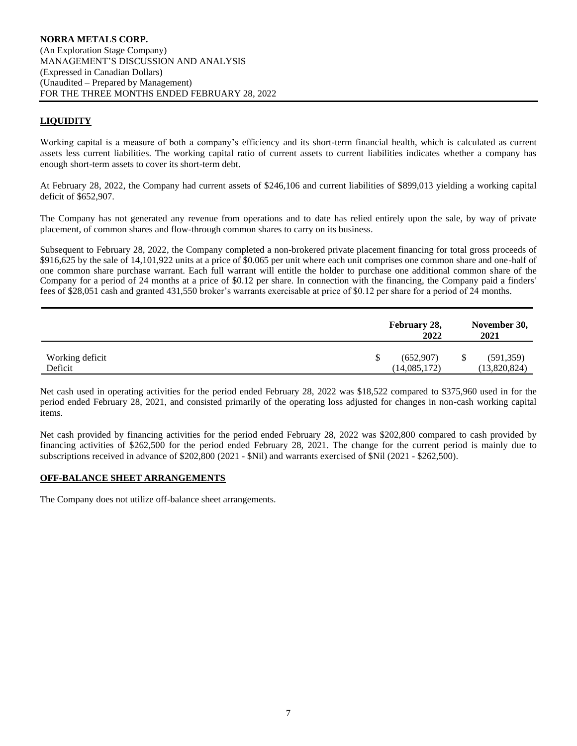## **LIQUIDITY**

Working capital is a measure of both a company's efficiency and its short-term financial health, which is calculated as current assets less current liabilities. The working capital ratio of current assets to current liabilities indicates whether a company has enough short-term assets to cover its short-term debt.

At February 28, 2022, the Company had current assets of \$246,106 and current liabilities of \$899,013 yielding a working capital deficit of \$652,907.

The Company has not generated any revenue from operations and to date has relied entirely upon the sale, by way of private placement, of common shares and flow-through common shares to carry on its business.

Subsequent to February 28, 2022, the Company completed a non-brokered private placement financing for total gross proceeds of \$916,625 by the sale of 14,101,922 units at a price of \$0.065 per unit where each unit comprises one common share and one-half of one common share purchase warrant. Each full warrant will entitle the holder to purchase one additional common share of the Company for a period of 24 months at a price of \$0.12 per share. In connection with the financing, the Company paid a finders' fees of \$28,051 cash and granted 431,550 broker's warrants exercisable at price of \$0.12 per share for a period of 24 months.

|                            | February 28, | 2022<br>2021                    | November 30,               |
|----------------------------|--------------|---------------------------------|----------------------------|
| Working deficit<br>Deficit |              | (652,907)<br>\$<br>(14,085,172) | (591, 359)<br>(13,820,824) |

Net cash used in operating activities for the period ended February 28, 2022 was \$18,522 compared to \$375,960 used in for the period ended February 28, 2021, and consisted primarily of the operating loss adjusted for changes in non-cash working capital items.

Net cash provided by financing activities for the period ended February 28, 2022 was \$202,800 compared to cash provided by financing activities of \$262,500 for the period ended February 28, 2021. The change for the current period is mainly due to subscriptions received in advance of \$202,800 (2021 - \$Nil) and warrants exercised of \$Nil (2021 - \$262,500).

#### **OFF-BALANCE SHEET ARRANGEMENTS**

The Company does not utilize off-balance sheet arrangements.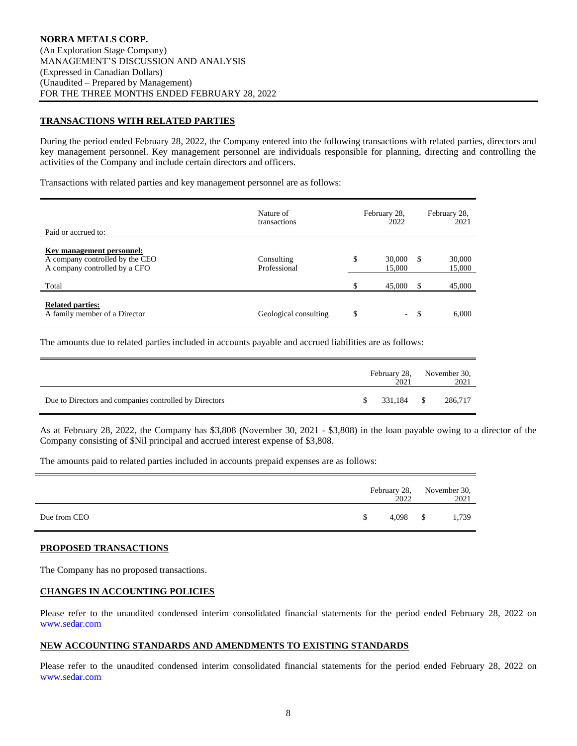## **TRANSACTIONS WITH RELATED PARTIES**

During the period ended February 28, 2022, the Company entered into the following transactions with related parties, directors and key management personnel. Key management personnel are individuals responsible for planning, directing and controlling the activities of the Company and include certain directors and officers.

Transactions with related parties and key management personnel are as follows:

| Paid or accrued to:                                                                           | Nature of<br>transactions  | February 28,<br>2022   |          | February 28,<br>2021 |
|-----------------------------------------------------------------------------------------------|----------------------------|------------------------|----------|----------------------|
| Key management personnel:<br>A company controlled by the CEO<br>A company controlled by a CFO | Consulting<br>Professional | \$<br>30,000<br>15,000 | <b>S</b> | 30,000<br>15,000     |
| Total                                                                                         |                            | \$<br>45,000           | S        | 45,000               |
| <b>Related parties:</b><br>A family member of a Director                                      | Geological consulting      | \$<br>$\sim$           | - \$     | 6,000                |

The amounts due to related parties included in accounts payable and accrued liabilities are as follows:

|                                                        |               | 2021       | February 28, November 30,<br>2021 |
|--------------------------------------------------------|---------------|------------|-----------------------------------|
| Due to Directors and companies controlled by Directors | <sup>\$</sup> | 331,184 \$ | 286,717                           |

As at February 28, 2022, the Company has \$3,808 (November 30, 2021 - \$3,808) in the loan payable owing to a director of the Company consisting of \$Nil principal and accrued interest expense of \$3,808.

The amounts paid to related parties included in accounts prepaid expenses are as follows:

|              |               | 2022       | February 28, November 30,<br>2021 |
|--------------|---------------|------------|-----------------------------------|
| Due from CEO | <sup>\$</sup> | $4,098$ \$ | 1,739                             |

#### **PROPOSED TRANSACTIONS**

The Company has no proposed transactions.

#### **CHANGES IN ACCOUNTING POLICIES**

Please refer to the unaudited condensed interim consolidated financial statements for the period ended February 28, 2022 on [www.sedar.com](http://www.sedar.com/)

#### **NEW ACCOUNTING STANDARDS AND AMENDMENTS TO EXISTING STANDARDS**

Please refer to the unaudited condensed interim consolidated financial statements for the period ended February 28, 2022 on [www.sedar.com](http://www.sedar.com/)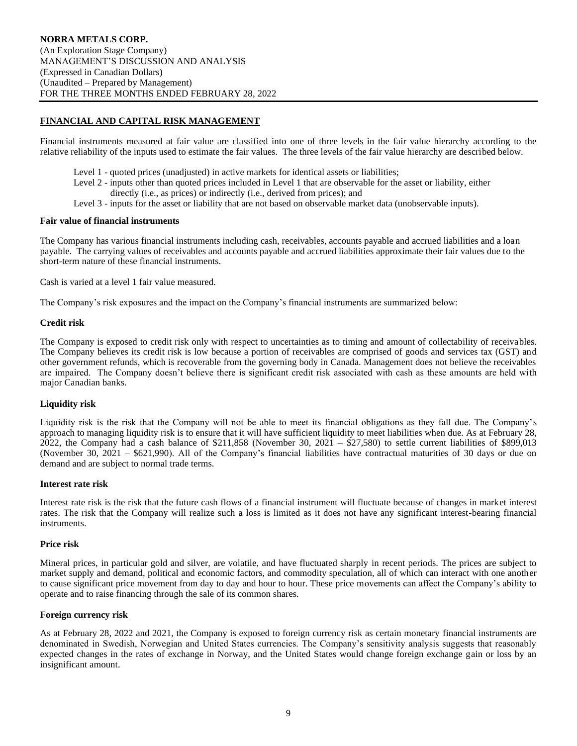# **FINANCIAL AND CAPITAL RISK MANAGEMENT**

Financial instruments measured at fair value are classified into one of three levels in the fair value hierarchy according to the relative reliability of the inputs used to estimate the fair values. The three levels of the fair value hierarchy are described below.

- Level 1 quoted prices (unadjusted) in active markets for identical assets or liabilities;
- Level 2 inputs other than quoted prices included in Level 1 that are observable for the asset or liability, either
	- directly (i.e., as prices) or indirectly (i.e., derived from prices); and
- Level 3 inputs for the asset or liability that are not based on observable market data (unobservable inputs).

#### **Fair value of financial instruments**

The Company has various financial instruments including cash, receivables, accounts payable and accrued liabilities and a loan payable. The carrying values of receivables and accounts payable and accrued liabilities approximate their fair values due to the short-term nature of these financial instruments.

Cash is varied at a level 1 fair value measured.

The Company's risk exposures and the impact on the Company's financial instruments are summarized below:

#### **Credit risk**

The Company is exposed to credit risk only with respect to uncertainties as to timing and amount of collectability of receivables. The Company believes its credit risk is low because a portion of receivables are comprised of goods and services tax (GST) and other government refunds, which is recoverable from the governing body in Canada. Management does not believe the receivables are impaired. The Company doesn't believe there is significant credit risk associated with cash as these amounts are held with major Canadian banks.

#### **Liquidity risk**

Liquidity risk is the risk that the Company will not be able to meet its financial obligations as they fall due. The Company's approach to managing liquidity risk is to ensure that it will have sufficient liquidity to meet liabilities when due. As at February 28,  $2022$ , the Company had a cash balance of \$211,858 (November 30, 2021 – \$27,580) to settle current liabilities of \$899,013 (November 30, 2021 – \$621,990). All of the Company's financial liabilities have contractual maturities of 30 days or due on demand and are subject to normal trade terms.

#### **Interest rate risk**

Interest rate risk is the risk that the future cash flows of a financial instrument will fluctuate because of changes in market interest rates. The risk that the Company will realize such a loss is limited as it does not have any significant interest-bearing financial instruments.

#### **Price risk**

Mineral prices, in particular gold and silver, are volatile, and have fluctuated sharply in recent periods. The prices are subject to market supply and demand, political and economic factors, and commodity speculation, all of which can interact with one another to cause significant price movement from day to day and hour to hour. These price movements can affect the Company's ability to operate and to raise financing through the sale of its common shares.

#### **Foreign currency risk**

As at February 28, 2022 and 2021, the Company is exposed to foreign currency risk as certain monetary financial instruments are denominated in Swedish, Norwegian and United States currencies. The Company's sensitivity analysis suggests that reasonably expected changes in the rates of exchange in Norway, and the United States would change foreign exchange gain or loss by an insignificant amount.